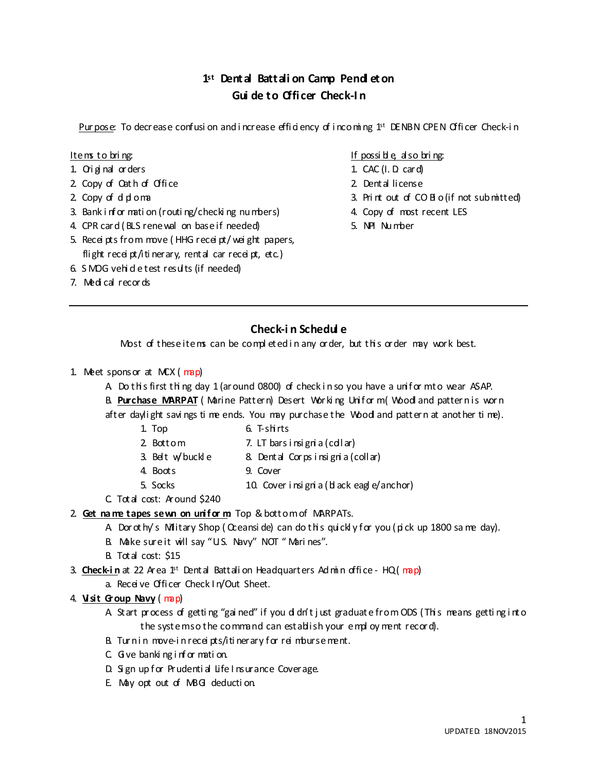# **1st Dent al Battali on Camp Pendl et on Gui de to Offi cer Check-I n**

Pur pose: To decrease confusi on and i ncrease efficiency of i ncoming 1<sup>st</sup> DENBN CPEN Officer Check-in

- 1. Ori gi nal orders 1. CAC (I. D. card)
- 2. Copy of Oath of Office 2. Dental license
- 
- 3. Bank information (routing/checking numbers) 4. Copy of most recent LES
- 4. CPR card ( BLS renewal on base if needed) 5. NPI Nu mber
- 5. Recei pts from move ( HHG recei pt/ wei ght papers, flight receint/iti nerary, rental car receint, etc.)
- 6. S MOG vehid e test results (if needed)
- 7. Medi cal recor ds

#### Items to bring: Items to bring: Items to bring:

- 
- 
- 2. Copy of diploma 2. Print out of CO Bio (if not sub mitted)
	-
	-

## **Check-i n Schedul e**

Most of these items can be completed in any order, but this order may work best.

- 1. Meet sponsor at MCX ( map)
	- A Do this first thing day 1 (ar ound 0800) of check in so you have a unif or m to wear ASAP.

B. Purchase MARPAT (Marine Pattern) Desert Working Uniform (Woodl and pattern is worn

after daylight savings time ends. You may purchase the Wood and pattern at another time).

- 1. Top 6. T-shirts
- 2. Bottom 7. LT bars i nsi gni a (coll ar)
- 
- 3. Belt w/buckle  $\begin{array}{ccc} 8 & \text{Dental} \end{array}$  Corps in signi a (coll ar)
- 4. Boots 9. Cover
- 5. Socks 10. Cover i nsi gni a (bl ack eagl e/anchor)
- C. Total cost: Around \$240
- 2. **Get na me tapes sewn on unif or m**: Top & bottomof MARPATs.
	- A Dor ot hy's Military Shop ( Creansi de) can do this quickly for you ( pick up 1800 sa me day).
	- B. Make sure it will say "U.S. Navy" NOT " Mari nes".
	- B. Total cost: \$15

3. **Check-in** at 22 Area  $1$ <sup>st</sup> Dental Battali on Headquarters Ad min office - HQ( $m$ ap)

a. Receive Officer Check I n/Out Sheet.

#### 4. **Vi sit Group Navy** ( map)

A. Start process of getti ng "gai ned" if you di dn't j ust graduat e from ODS (Thi s means getti ng i nto the system so the command can establish your empl oy ment recor d).

- B. Turn in move-in receipts/itinerary for reimburse ment.
- C. Give banking information.
- D. Sign up for Prudenti al Life I nsurance Coverage.
- E. May opt out of MBG deduction.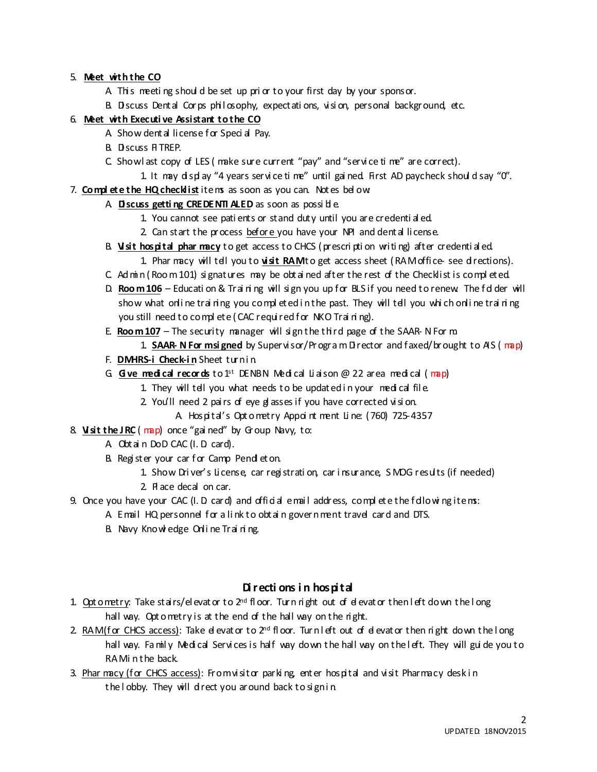#### 5. **Meet wi th the CO**

- A. This meeting should be set up prior to your first day by your sponsor.
- B. Discuss Dental Corps philosophy, expectations, vision, personal background, etc.

#### 6. **Meet wi th Executi ve Assistant to the CO**

- A Show dental license for Special Pay.
- B. Discuss FITREP.
- C. Show l ast copy of LES ( make sure current "pay" and "servi ce ti me" are correct).
- 1. It may di spl ay "4 years servi ce ti me" until gai ned. First AD paycheck shoul d say "0".
- 7. **Compl ete the HQ checklist** items as soon as you can. Not es bel ow:

### A **Discuss getting CREDENTI ALED** as soon as possible.

- 1. You cannot see pati ents or stand duty until you are credenti al ed.
- 2. Can start the process befor e you have your NPI and dent al license.
- B. **Vi sit hospital phar macy** to get access to CHCS ( prescri pti on writi ng) after credenti al ed. 1. Phar macy will tell you to **visit RAM**t o get access sheet ( RAM offi ce- see directions).
- C. Ad min ( $Room 101$ ) signatures may be obtained after the rest of the Checklist is completed.
- D. **Room 106** Educati on & Trai ni ng will sign you up for BLS if you need to renew. The fd der will show what onli ne trai ning you completed in the past. They will tell you whi ch onli ne trai ni ng you still need to complete (CAC required for NKO Training).
- E. **Room 107** The security manager will sign the third page of the SAAR-N Form.
	- 1. **SAAR- N For m si gned** by Supervi sor/Pr ogra m Di rector and faxed/br ought to AIS ( map)
- F. **DMHRS-i Check-in** Sheet turnin
- G. **Gi ve medi cal records** to 1st DENBN Medi cal Li ai son @ 22 area medi cal ( map)
	- 1. They will tell you what needs to be updated in your medical file.
	- 2. You'll need 2 pairs of eye g asses if you have corrected vision.
	- A. Hospi tal's Opt o metry Appoi nt ment Li ne: (760) 725-4357
- 8. **Visit the JRC** (map) once "gai ned" by Group Navy, to:
	- A Obtain DoD CAC (I. D. card).
	- B. Register your car for Camp Pend et on.
		- 1. Show Dri ver's Li cense, car regi strati on, car i nsurance, S MOG results (if needed)
		- 2. Pl ace decal on car.
- 9. Once you have your CAC (I. D card) and official email address, complete the following items:
	- A. Email HQ personnel for a link to obtain government travel card and DTS.
	- B. Navy Knowledge Online Training.

## **Di recti ons i n hospi tal**

- 1. Opt ometry: Take stairs/elevator to  $2^{nd}$  floor. Turn right out of devator then left down the long hall way. Opt ometry is at the end of the hall way on the right.
- 2. RAM (for CHCS access): Take devator to  $2^{nd}$  floor. Turn left out of devator then right down the long hall way. Fa mily Medical Services is half way down the hall way on the left. They will guide you to RA Minthe back.
- 3. Phar macy (for CHCS access): From visitor parking, enter hospital and visit Pharmacy desk in the lobby. They will direct you around back to sign in.